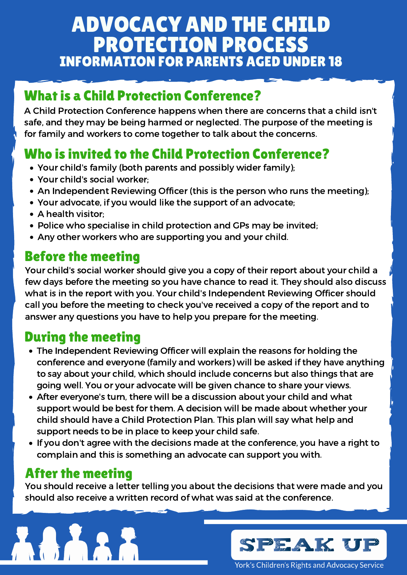# ADVOCACY AND THE CHILD PROTECTION PROCESS INFORMATION FOR PARENTS AGED UNDER 18

#### What is a Child Protection Conference?

A Child Protection Conference happens when there are concerns that a child isn't safe, and they may be being harmed or neglected. The purpose of the meeting is for family and workers to come together to talk about the concerns.

## Who is invited to the Child Protection Conference?

- Your child's family (both parents and possibly wider family);
- Your child's social worker;
- An Independent Reviewing Officer (this is the person who runs the meeting);
- Your advocate, if you would like the support of an advocate;
- A health visitor:
- Police who specialise in child protection and GPs may be invited;
- Any other workers who are supporting you and your child.

Your child's social worker should give you a copy of their report about your child a few days before the meeting so you have chance to read it. They should also discuss what is in the report with you. Your child's Independent Reviewing Officer should call you before the meeting to check you've received a copy of the report and to answer any questions you have to help you prepare for the meeting.

## Before the meeting

## During the meeting

- The Independent Reviewing Officer will explain the reasons for holding the conference and everyone (family and workers) will be asked if they have anything to say about your child, which should include concerns but also things that are going well. You or your advocate will be given chance to share your views.
- After everyone's turn, there will be a discussion about your child and what support would be best for them. A decision will be made about whether your child should have a Child Protection Plan. This plan will say what help and support needs to be in place to keep your child safe.
- If you don't agree with the decisions made at the conference, you have a right to complain and this is something an advocate can support you with.

## After the meeting

You should receive a letter telling you about the decisions that were made and you should also receive a written record of what was said at the conference.



York's Children's Rights and Advocacy Service